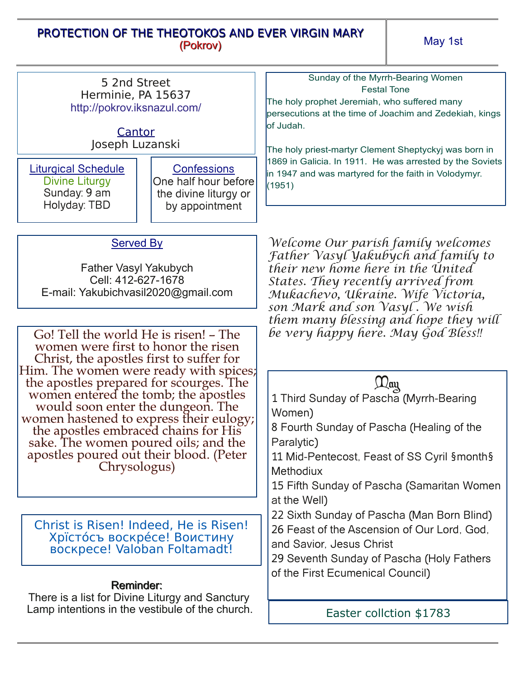## PROTECTION OF THE THEOTOKOS AND EVER VIRGIN MARY (Pokrov)

May 1st

| Sunday of the Myrrh-Bearing Women<br>5 2nd Street<br><b>Festal Tone</b><br>Herminie, PA 15637<br>The holy prophet Jeremiah, who suffered many<br>http://pokrov.iksnazul.com/<br>persecutions at the time of Joachim and Zedekiah, kings<br>of Judah.<br>Cantor<br>Joseph Luzanski<br>The holy priest-martyr Clement Sheptyckyj was born in                                                                                                                                                                                                                                                                                                                                                                                                                                                                                                                                                                                        |  |
|-----------------------------------------------------------------------------------------------------------------------------------------------------------------------------------------------------------------------------------------------------------------------------------------------------------------------------------------------------------------------------------------------------------------------------------------------------------------------------------------------------------------------------------------------------------------------------------------------------------------------------------------------------------------------------------------------------------------------------------------------------------------------------------------------------------------------------------------------------------------------------------------------------------------------------------|--|
| 1869 in Galicia. In 1911. He was arrested by the Soviets<br><b>Confessions</b><br><b>Liturgical Schedule</b><br>in 1947 and was martyred for the faith in Volodymyr.<br>One half hour before<br>Divine Liturgy<br>(1951)<br>Sunday: 9 am<br>the divine liturgy or<br>Holyday: TBD<br>by appointment                                                                                                                                                                                                                                                                                                                                                                                                                                                                                                                                                                                                                               |  |
|                                                                                                                                                                                                                                                                                                                                                                                                                                                                                                                                                                                                                                                                                                                                                                                                                                                                                                                                   |  |
| Welcome Our parish family welcomes<br><b>Served By</b><br>Father Vasyl Yakubych and family to<br>their new home here in the United<br>Father Vasyl Yakubych<br>Cell: 412-627-1678<br>States. They recently arrived from<br>E-mail: Yakubichvasil2020@gmail.com<br>Mukachevo, Ukraíne. Wífe Víctoría,<br>son Mark and son Vasyl <sup>T</sup> . We wish<br>them many blessing and hope they will<br>be very happy here. May God Bless!!<br>Go! Tell the world He is risen! - The<br>women were first to honor the risen<br>Christ, the apostles first to suffer for<br>Him. The women were ready with spices;<br>the apostles prepared for scourges. The<br>$\mu$<br>women entered the tomb; the apostles<br>1 Third Sunday of Pascha (Myrrh-Bearing<br>would soon enter the dungeon. The<br>Women)<br>women hastened to express their eulogy;<br>8 Fourth Sunday of Pascha (Healing of the<br>the apostles embraced chains for His |  |
| sake. The women poured oils; and the<br>Paralytic)<br>apostles poured out their blood. (Peter                                                                                                                                                                                                                                                                                                                                                                                                                                                                                                                                                                                                                                                                                                                                                                                                                                     |  |
| 11 Mid-Pentecost, Feast of SS Cyril §month§<br>Chrysologus)<br><b>Methodiux</b>                                                                                                                                                                                                                                                                                                                                                                                                                                                                                                                                                                                                                                                                                                                                                                                                                                                   |  |
| 15 Fifth Sunday of Pascha (Samaritan Women                                                                                                                                                                                                                                                                                                                                                                                                                                                                                                                                                                                                                                                                                                                                                                                                                                                                                        |  |
| at the Well)                                                                                                                                                                                                                                                                                                                                                                                                                                                                                                                                                                                                                                                                                                                                                                                                                                                                                                                      |  |
| 22 Sixth Sunday of Pascha (Man Born Blind)<br>Christ is Risen! Indeed, He is Risen!<br>26 Feast of the Ascension of Our Lord, God,<br>Хрїстосъ воскресе! Воистину<br>and Savior, Jesus Christ<br><b>BOCKPECE! Valoban Foltamadt!</b><br>29 Seventh Sunday of Pascha (Holy Fathers                                                                                                                                                                                                                                                                                                                                                                                                                                                                                                                                                                                                                                                 |  |
| of the First Ecumenical Council)<br><b>Reminder:</b>                                                                                                                                                                                                                                                                                                                                                                                                                                                                                                                                                                                                                                                                                                                                                                                                                                                                              |  |
| There is a list for Divine Liturgy and Sanctury<br>Lamp intentions in the vestibule of the church.<br>Easter collction \$1783                                                                                                                                                                                                                                                                                                                                                                                                                                                                                                                                                                                                                                                                                                                                                                                                     |  |
|                                                                                                                                                                                                                                                                                                                                                                                                                                                                                                                                                                                                                                                                                                                                                                                                                                                                                                                                   |  |